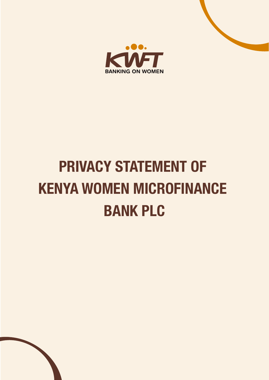

# **PRIVACY STATEMENT OF KENYA WOMEN MICROFINANCE BANK PLC**

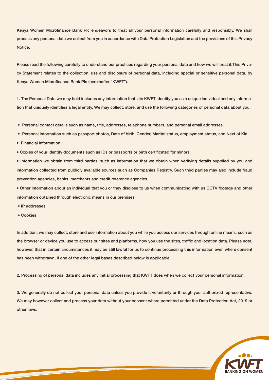Kenya Women Microfinance Bank Plc endeavors to treat all your personal information carefully and responsibly. We shall process any personal data we collect from you in accordance with Data Protection Legislation and the provisions of this Privacy Notice.

Please read the following carefully to understand our practices regarding your personal data and how we will treat it.This Privacy Statement relates to the collection, use and disclosure of personal data, including special or sensitive personal data, by Kenya Women Microfinance Bank Plc (hereinafter "KWFT").

1. The Personal Data we may hold includes any information that lets KWFT identify you as a unique individual and any information that uniquely identifies a legal entity. We may collect, store, and use the following categories of personal data about you:

- Personal contact details such as name, title, addresses, telephone numbers, and personal email addresses.
- Personal information such as passport photos, Date of birth, Gender, Marital status, employment status, and Next of Kin
- Financial information
- Copies of your identity documents such as IDs or passports or birth certificated for minors.

• Information we obtain from third parties, such as information that we obtain when verifying details supplied by you and information collected from publicly available sources such as Companies Registry. Such third parties may also include fraud prevention agencies, banks, merchants and credit reference agencies.

• Other information about an individual that you or they disclose to us when communicating with us CCTV footage and other information obtained through electronic means in our premises

• IP addresses

<u> Andrew Maria (1989)</u>

• Cookies

In addition, we may collect, store and use information about you while you access our services through online means, such as the browser or device you use to access our sites and platforms, how you use the sites, traffic and location data. Please note, however, that in certain circumstances it may be still lawful for us to continue processing this information even where consent has been withdrawn, if one of the other legal bases described below is applicable.

2. Processing of personal data includes any initial processing that KWFT does when we collect your personal information.

3. We generally do not collect your personal data unless you provide it voluntarily or through your authorized representative. We may however collect and process your data without your consent where permitted under the Data Protection Act, 2019 or other laws.

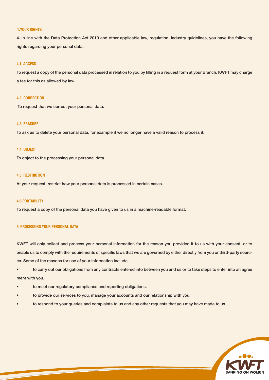## **4.YOUR RIGHTS**

**4.** In line with the Data Protection Act 2019 and other applicable law, regulation, industry guidelines, you have the following rights regarding your personal data:

# **4.1 ACCESS**

To request a copy of the personal data processed in relation to you by filling in a request form at your Branch. KWFT may charge a fee for this as allowed by law.

# **4.2 CORRECTION**

To request that we correct your personal data.

# **4.3 ERASURE**

To ask us to delete your personal data, for example if we no longer have a valid reason to process it.

## **4.4 OBJECT**

To object to the processing your personal data.

# **4.5 RESTRICTION**

At your request, restrict how your personal data is processed in certain cases.

## **4.6 PORTABILITY**

To request a copy of the personal data you have given to us in a machine-readable format.

#### **5. PROCESSING YOUR PERSONAL DATA**

KWFT will only collect and process your personal information for the reason you provided it to us with your consent, or to enable us to comply with the requirements of specific laws that we are governed by either directly from you or third-party sources. Some of the reasons for use of your information include:

• to carry out our obligations from any contracts entered into between you and us or to take steps to enter into an agree ment with you.

to meet our regulatory compliance and reporting obligations.

<u> Andrew Maria (1989)</u>

- to provide our services to you, manage your accounts and our relationship with you.
- to respond to your queries and complaints to us and any other requests that you may have made to us

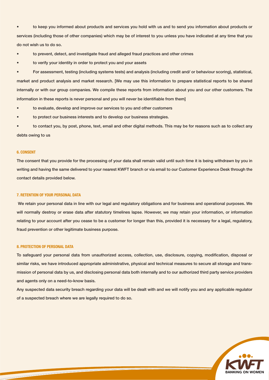• to keep you informed about products and services you hold with us and to send you information about products or services (including those of other companies) which may be of interest to you unless you have indicated at any time that you do not wish us to do so.

- to prevent, detect, and investigate fraud and alleged fraud practices and other crimes
- to verify your identity in order to protect you and your assets

• For assessment, testing (including systems tests) and analysis (including credit and/ or behaviour scoring), statistical, market and product analysis and market research. [We may use this information to prepare statistical reports to be shared internally or with our group companies. We compile these reports from information about you and our other customers. The information in these reports is never personal and you will never be identifiable from them]

- to evaluate, develop and improve our services to you and other customers
- to protect our business interests and to develop our business strategies.

• to contact you, by post, phone, text, email and other digital methods. This may be for reasons such as to collect any debts owing to us

# **6. CONSENT**

The consent that you provide for the processing of your data shall remain valid until such time it is being withdrawn by you in writing and having the same delivered to your nearest KWFT branch or via email to our Customer Experience Desk through the contact details provided below.

# **7. RETENTION OF YOUR PERSONAL DATA**

 We retain your personal data in line with our legal and regulatory obligations and for business and operational purposes. We will normally destroy or erase data after statutory timelines lapse. However, we may retain your information, or information relating to your account after you cease to be a customer for longer than this, provided it is necessary for a legal, regulatory, fraud prevention or other legitimate business purpose.

#### **8. PROTECTION OF PERSONAL DATA**

<u> Andrew Maria (1989)</u>

To safeguard your personal data from unauthorized access, collection, use, disclosure, copying, modification, disposal or similar risks, we have introduced appropriate administrative, physical and technical measures to secure all storage and transmission of personal data by us, and disclosing personal data both internally and to our authorized third party service providers and agents only on a need-to-know basis.

Any suspected data security breach regarding your data will be dealt with and we will notify you and any applicable regulator of a suspected breach where we are legally required to do so.

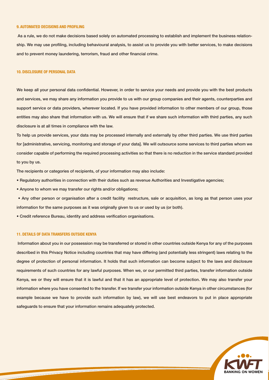## **9. AUTOMATED DECISIONS AND PROFILING**

 As a rule, we do not make decisions based solely on automated processing to establish and implement the business relationship. We may use profiling, including behavioural analysis, to assist us to provide you with better services, to make decisions and to prevent money laundering, terrorism, fraud and other financial crime.

## **10. DISCLOSURE OF PERSONAL DATA**

We keep all your personal data confidential. However, in order to service your needs and provide you with the best products and services, we may share any information you provide to us with our group companies and their agents, counterparties and support service or data providers, wherever located. If you have provided information to other members of our group, those entities may also share that information with us. We will ensure that if we share such information with third parties, any such disclosure is at all times in compliance with the law.

To help us provide services, your data may be processed internally and externally by other third parties. We use third parties for [administrative, servicing, monitoring and storage of your data]. We will outsource some services to third parties whom we consider capable of performing the required processing activities so that there is no reduction in the service standard provided to you by us.

The recipients or categories of recipients, of your information may also include:

- Regulatory authorities in connection with their duties such as revenue Authorities and Investigative agencies;
- Anyone to whom we may transfer our rights and/or obligations;

 • Any other person or organisation after a credit facility restructure, sale or acquisition, as long as that person uses your information for the same purposes as it was originally given to us or used by us (or both).

• Credit reference Bureau, identity and address verification organisations.

## **11. DETAILS OF DATA TRANSFERS OUTSIDE KENYA**

<u> Andrew Maria (1989)</u>

 Information about you in our possession may be transferred or stored in other countries outside Kenya for any of the purposes described in this Privacy Notice including countries that may have differing (and potentially less stringent) laws relating to the degree of protection of personal information. It holds that such information can become subject to the laws and disclosure requirements of such countries for any lawful purposes. When we, or our permitted third parties, transfer information outside Kenya, we or they will ensure that it is lawful and that it has an appropriate level of protection. We may also transfer your information where you have consented to the transfer. If we transfer your information outside Kenya in other circumstances (for example because we have to provide such information by law), we will use best endeavors to put in place appropriate safeguards to ensure that your information remains adequately protected.

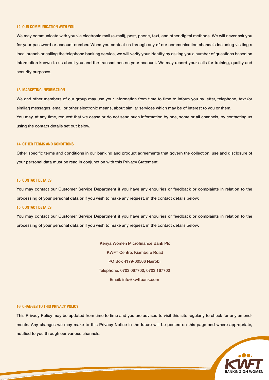## **12. OUR COMMUNICATION WITH YOU**

We may communicate with you via electronic mail (e-mail), post, phone, text, and other digital methods. We will never ask you for your password or account number. When you contact us through any of our communication channels including visiting a local branch or calling the telephone banking service, we will verify your identity by asking you a number of questions based on information known to us about you and the transactions on your account. We may record your calls for training, quality and security purposes.

#### **13. MARKETING INFORMATION**

We and other members of our group may use your information from time to time to inform you by letter, telephone, text (or similar) messages, email or other electronic means, about similar services which may be of interest to you or them. You may, at any time, request that we cease or do not send such information by one, some or all channels, by contacting us using the contact details set out below.

## **14. OTHER TERMS AND CONDITIONS**

Other specific terms and conditions in our banking and product agreements that govern the collection, use and disclosure of your personal data must be read in conjunction with this Privacy Statement.

# **15. CONTACT DETAILS**

You may contact our Customer Service Department if you have any enquiries or feedback or complaints in relation to the processing of your personal data or if you wish to make any request, in the contact details below:

#### **15. CONTACT DETAILS**

You may contact our Customer Service Department if you have any enquiries or feedback or complaints in relation to the processing of your personal data or if you wish to make any request, in the contact details below:

> Kenya Women Microfinance Bank Plc KWFT Centre, Kiambere Road PO Box 4179-00506 Nairobi Telephone: 0703 067700, 0703 167700 Email: info@kwftbank.com

## **16. CHANGES TO THIS PRIVACY POLICY**

<u> 1989 - Andrea Station Books, amerikansk politiker (</u>

This Privacy Policy may be updated from time to time and you are advised to visit this site regularly to check for any amendments. Any changes we may make to this Privacy Notice in the future will be posted on this page and where appropriate, notified to you through our various channels.